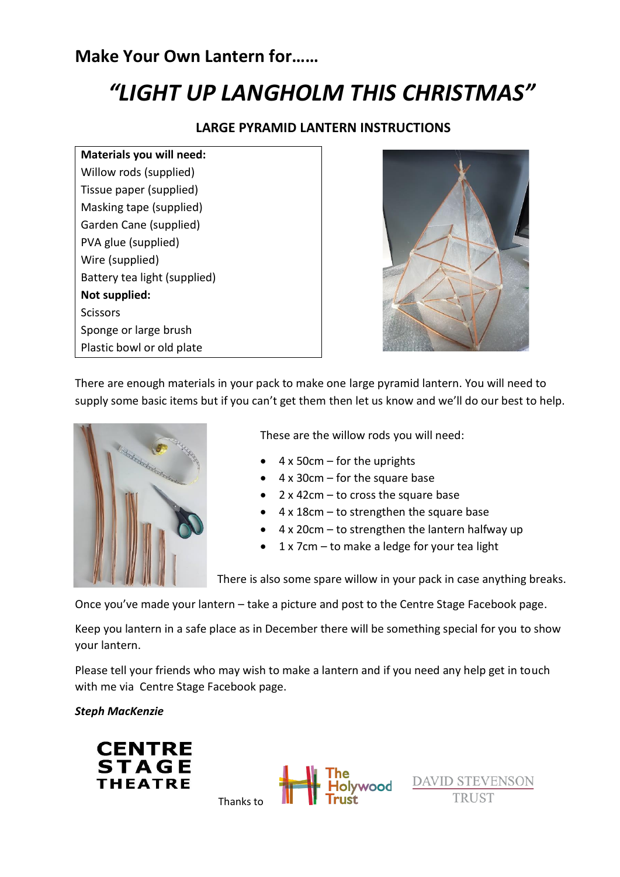# **Make Your Own Lantern for……**

# *"LIGHT UP LANGHOLM THIS CHRISTMAS"*

### **LARGE PYRAMID LANTERN INSTRUCTIONS**

**Materials you will need:** Willow rods (supplied) Tissue paper (supplied) Masking tape (supplied) Garden Cane (supplied) PVA glue (supplied) Wire (supplied) Battery tea light (supplied) **Not supplied: Scissors** Sponge or large brush Plastic bowl or old plate



There are enough materials in your pack to make one large pyramid lantern. You will need to supply some basic items but if you can't get them then let us know and we'll do our best to help.



These are the willow rods you will need:

- $\bullet$  4 x 50cm for the uprights
- 4 x 30cm for the square base
- 2 x 42cm to cross the square base
- 4 x 18cm to strengthen the square base
- 4 x 20cm to strengthen the lantern halfway up
- 1 x 7cm to make a ledge for your tea light

There is also some spare willow in your pack in case anything breaks.

Once you've made your lantern – take a picture and post to the Centre Stage Facebook page.

Keep you lantern in a safe place as in December there will be something special for you to show your lantern.

Please tell your friends who may wish to make a lantern and if you need any help get in touch with me via Centre Stage Facebook page.

#### *Steph MacKenzie*





DAVID STEVENSON

Thanks to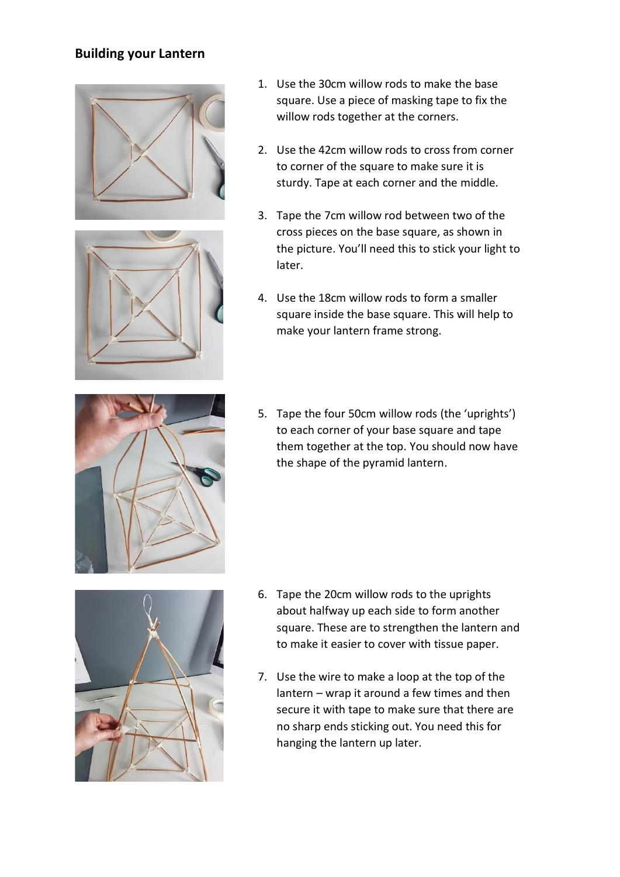## **Building your Lantern**





- 1. Use the 30cm willow rods to make the base square. Use a piece of masking tape to fix the willow rods together at the corners.
- 2. Use the 42cm willow rods to cross from corner to corner of the square to make sure it is sturdy. Tape at each corner and the middle.
- 3. Tape the 7cm willow rod between two of the cross pieces on the base square, as shown in the picture. You'll need this to stick your light to later.
- 4. Use the 18cm willow rods to form a smaller square inside the base square. This will help to make your lantern frame strong.



5. Tape the four 50cm willow rods (the 'uprights') to each corner of your base square and tape them together at the top. You should now have the shape of the pyramid lantern.



- 6. Tape the 20cm willow rods to the uprights about halfway up each side to form another square. These are to strengthen the lantern and to make it easier to cover with tissue paper.
- 7. Use the wire to make a loop at the top of the lantern – wrap it around a few times and then secure it with tape to make sure that there are no sharp ends sticking out. You need this for hanging the lantern up later.